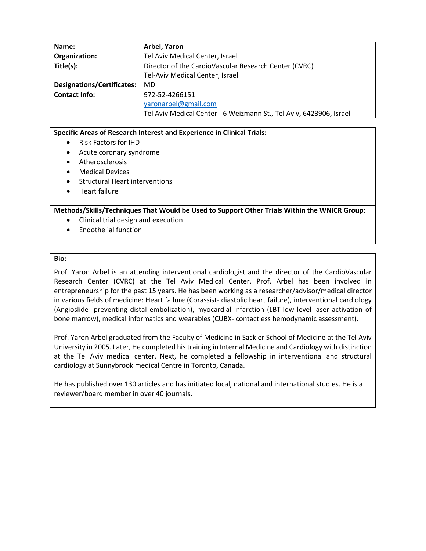| Name:                             | Arbel, Yaron                                                        |
|-----------------------------------|---------------------------------------------------------------------|
| Organization:                     | Tel Aviv Medical Center, Israel                                     |
| Title(s):                         | Director of the CardioVascular Research Center (CVRC)               |
|                                   | Tel-Aviv Medical Center, Israel                                     |
| <b>Designations/Certificates:</b> | MD                                                                  |
| <b>Contact Info:</b>              | 972-52-4266151                                                      |
|                                   | yaronarbel@gmail.com                                                |
|                                   | Tel Aviv Medical Center - 6 Weizmann St., Tel Aviv, 6423906, Israel |

- Risk Factors for IHD
- Acute coronary syndrome
- Atherosclerosis
- Medical Devices
- Structural Heart interventions
- Heart failure

**Methods/Skills/Techniques That Would be Used to Support Other Trials Within the WNICR Group:**

- Clinical trial design and execution
- Endothelial function

### **Bio:**

Prof. Yaron Arbel is an attending interventional cardiologist and the director of the CardioVascular Research Center (CVRC) at the Tel Aviv Medical Center. Prof. Arbel has been involved in entrepreneurship for the past 15 years. He has been working as a researcher/advisor/medical director in various fields of medicine: Heart failure (Corassist- diastolic heart failure), interventional cardiology (Angioslide- preventing distal embolization), myocardial infarction (LBT-low level laser activation of bone marrow), medical informatics and wearables (CUBX- contactless hemodynamic assessment).

Prof. Yaron Arbel graduated from the Faculty of Medicine in Sackler School of Medicine at the Tel Aviv University in 2005. Later, He completed his training in Internal Medicine and Cardiology with distinction at the Tel Aviv medical center. Next, he completed a fellowship in interventional and structural cardiology at Sunnybrook medical Centre in Toronto, Canada.

He has published over 130 articles and has initiated local, national and international studies. He is a reviewer/board member in over 40 journals.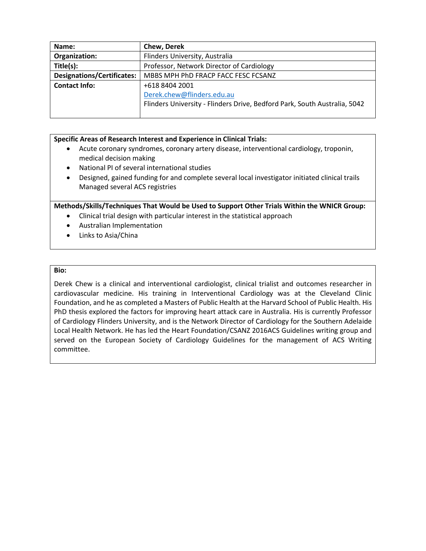| Name:                             | <b>Chew, Derek</b>                                                        |
|-----------------------------------|---------------------------------------------------------------------------|
| Organization:                     | Flinders University, Australia                                            |
| Title(s):                         | Professor, Network Director of Cardiology                                 |
| <b>Designations/Certificates:</b> | MBBS MPH PhD FRACP FACC FESC FCSANZ                                       |
| <b>Contact Info:</b>              | +618 8404 2001                                                            |
|                                   | Derek.chew@flinders.edu.au                                                |
|                                   | Flinders University - Flinders Drive, Bedford Park, South Australia, 5042 |
|                                   |                                                                           |

- Acute coronary syndromes, coronary artery disease, interventional cardiology, troponin, medical decision making
- National PI of several international studies
- Designed, gained funding for and complete several local investigator initiated clinical trails Managed several ACS registries

# **Methods/Skills/Techniques That Would be Used to Support Other Trials Within the WNICR Group:**

- Clinical trial design with particular interest in the statistical approach
- Australian Implementation
- Links to Asia/China

#### **Bio:**

Derek Chew is a clinical and interventional cardiologist, clinical trialist and outcomes researcher in cardiovascular medicine. His training in Interventional Cardiology was at the Cleveland Clinic Foundation, and he as completed a Masters of Public Health at the Harvard School of Public Health. His PhD thesis explored the factors for improving heart attack care in Australia. His is currently Professor of Cardiology Flinders University, and is the Network Director of Cardiology for the Southern Adelaide Local Health Network. He has led the Heart Foundation/CSANZ 2016ACS Guidelines writing group and served on the European Society of Cardiology Guidelines for the management of ACS Writing committee.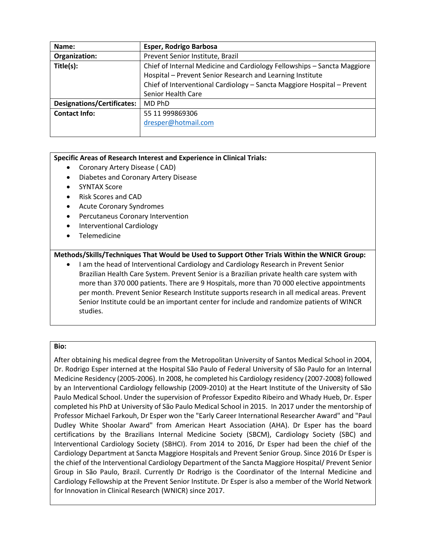| Name:                             | Esper, Rodrigo Barbosa                                                  |
|-----------------------------------|-------------------------------------------------------------------------|
| Organization:                     | Prevent Senior Institute, Brazil                                        |
| Title(s):                         | Chief of Internal Medicine and Cardiology Fellowships - Sancta Maggiore |
|                                   | Hospital - Prevent Senior Research and Learning Institute               |
|                                   | Chief of Interventional Cardiology - Sancta Maggiore Hospital - Prevent |
|                                   | Senior Health Care                                                      |
| <b>Designations/Certificates:</b> | MD PhD                                                                  |
| <b>Contact Info:</b>              | 55 11 999869306                                                         |
|                                   | dresper@hotmail.com                                                     |
|                                   |                                                                         |

- Coronary Artery Disease ( CAD)
- Diabetes and Coronary Artery Disease
- SYNTAX Score
- Risk Scores and CAD
- Acute Coronary Syndromes
- Percutaneus Coronary Intervention
- Interventional Cardiology
- Telemedicine

# **Methods/Skills/Techniques That Would be Used to Support Other Trials Within the WNICR Group:**

 I am the head of Interventional Cardiology and Cardiology Research in Prevent Senior Brazilian Health Care System. Prevent Senior is a Brazilian private health care system with more than 370 000 patients. There are 9 Hospitals, more than 70 000 elective appointments per month. Prevent Senior Research Institute supports research in all medical areas. Prevent Senior Institute could be an important center for include and randomize patients of WINCR studies.

# **Bio:**

After obtaining his medical degree from the Metropolitan University of Santos Medical School in 2004, Dr. Rodrigo Esper interned at the Hospital São Paulo of Federal University of São Paulo for an Internal Medicine Residency (2005-2006). In 2008, he completed his Cardiology residency (2007-2008) followed by an Interventional Cardiology fellowship (2009-2010) at the Heart Institute of the University of São Paulo Medical School. Under the supervision of Professor Expedito Ribeiro and Whady Hueb, Dr. Esper completed his PhD at University of São Paulo Medical School in 2015. In 2017 under the mentorship of Professor Michael Farkouh, Dr Esper won the "Early Career International Researcher Award" and "Paul Dudley White Shoolar Award" from American Heart Association (AHA). Dr Esper has the board certifications by the Brazilians Internal Medicine Society (SBCM), Cardiology Society (SBC) and Interventional Cardiology Society (SBHCI). From 2014 to 2016, Dr Esper had been the chief of the Cardiology Department at Sancta Maggiore Hospitals and Prevent Senior Group. Since 2016 Dr Esper is the chief of the Interventional Cardiology Department of the Sancta Maggiore Hospital/ Prevent Senior Group in São Paulo, Brazil. Currently Dr Rodrigo is the Coordinator of the Internal Medicine and Cardiology Fellowship at the Prevent Senior Institute. Dr Esper is also a member of the World Network for Innovation in Clinical Research (WNICR) since 2017.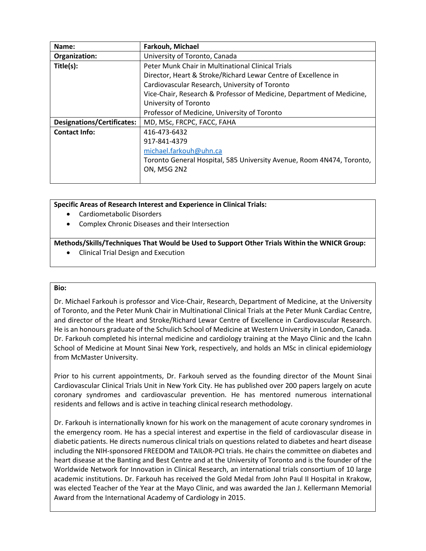| Name:                             | Farkouh, Michael                                                      |
|-----------------------------------|-----------------------------------------------------------------------|
| Organization:                     | University of Toronto, Canada                                         |
| Title(s):                         | Peter Munk Chair in Multinational Clinical Trials                     |
|                                   | Director, Heart & Stroke/Richard Lewar Centre of Excellence in        |
|                                   | Cardiovascular Research, University of Toronto                        |
|                                   | Vice-Chair, Research & Professor of Medicine, Department of Medicine, |
|                                   | University of Toronto                                                 |
|                                   | Professor of Medicine, University of Toronto                          |
| <b>Designations/Certificates:</b> | MD, MSc, FRCPC, FACC, FAHA                                            |
| <b>Contact Info:</b>              | 416-473-6432                                                          |
|                                   | 917-841-4379                                                          |
|                                   | michael.farkouh@uhn.ca                                                |
|                                   | Toronto General Hospital, 585 University Avenue, Room 4N474, Toronto, |
|                                   | <b>ON, M5G 2N2</b>                                                    |
|                                   |                                                                       |

- Cardiometabolic Disorders
- Complex Chronic Diseases and their Intersection

# **Methods/Skills/Techniques That Would be Used to Support Other Trials Within the WNICR Group:**

Clinical Trial Design and Execution

# **Bio:**

Dr. Michael Farkouh is professor and Vice-Chair, Research, Department of Medicine, at the University of Toronto, and the Peter Munk Chair in Multinational Clinical Trials at the Peter Munk Cardiac Centre, and director of the Heart and Stroke/Richard Lewar Centre of Excellence in Cardiovascular Research. He is an honours graduate of the Schulich School of Medicine at Western University in London, Canada. Dr. Farkouh completed his internal medicine and cardiology training at the Mayo Clinic and the Icahn School of Medicine at Mount Sinai New York, respectively, and holds an MSc in clinical epidemiology from McMaster University.

Prior to his current appointments, Dr. Farkouh served as the founding director of the Mount Sinai Cardiovascular Clinical Trials Unit in New York City. He has published over 200 papers largely on acute coronary syndromes and cardiovascular prevention. He has mentored numerous international residents and fellows and is active in teaching clinical research methodology.

Dr. Farkouh is internationally known for his work on the management of acute coronary syndromes in the emergency room. He has a special interest and expertise in the field of cardiovascular disease in diabetic patients. He directs numerous clinical trials on questions related to diabetes and heart disease including the NIH-sponsored FREEDOM and TAILOR-PCI trials. He chairs the committee on diabetes and heart disease at the Banting and Best Centre and at the University of Toronto and is the founder of the Worldwide Network for Innovation in Clinical Research, an international trials consortium of 10 large academic institutions. Dr. Farkouh has received the Gold Medal from John Paul II Hospital in Krakow, was elected Teacher of the Year at the Mayo Clinic, and was awarded the Jan J. Kellermann Memorial Award from the International Academy of Cardiology in 2015.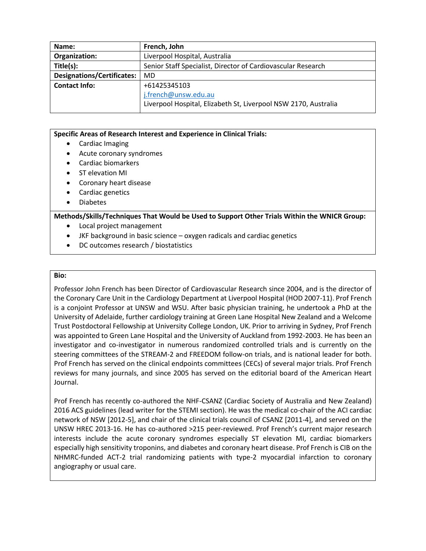| French, John                                                    |
|-----------------------------------------------------------------|
| Liverpool Hospital, Australia                                   |
| Senior Staff Specialist, Director of Cardiovascular Research    |
| MD                                                              |
| +61425345103                                                    |
| j.french@unsw.edu.au                                            |
| Liverpool Hospital, Elizabeth St, Liverpool NSW 2170, Australia |
|                                                                 |

- Cardiac Imaging
- Acute coronary syndromes
- Cardiac biomarkers
- ST elevation MI
- Coronary heart disease
- Cardiac genetics
- Diabetes

# **Methods/Skills/Techniques That Would be Used to Support Other Trials Within the WNICR Group:**

- Local project management
- JKF background in basic science oxygen radicals and cardiac genetics
- DC outcomes research / biostatistics

# **Bio:**

Professor John French has been Director of Cardiovascular Research since 2004, and is the director of the Coronary Care Unit in the Cardiology Department at Liverpool Hospital (HOD 2007-11). Prof French is a conjoint Professor at UNSW and WSU. After basic physician training, he undertook a PhD at the University of Adelaide, further cardiology training at Green Lane Hospital New Zealand and a Welcome Trust Postdoctoral Fellowship at University College London, UK. Prior to arriving in Sydney, Prof French was appointed to Green Lane Hospital and the University of Auckland from 1992-2003. He has been an investigator and co-investigator in numerous randomized controlled trials and is currently on the steering committees of the STREAM-2 and FREEDOM follow-on trials, and is national leader for both. Prof French has served on the clinical endpoints committees (CECs) of several major trials. Prof French reviews for many journals, and since 2005 has served on the editorial board of the American Heart Journal.

Prof French has recently co-authored the NHF-CSANZ (Cardiac Society of Australia and New Zealand) 2016 ACS guidelines (lead writer for the STEMI section). He was the medical co-chair of the ACI cardiac network of NSW [2012-5], and chair of the clinical trials council of CSANZ [2011-4], and served on the UNSW HREC 2013-16. He has co-authored >215 peer-reviewed. Prof French's current major research interests include the acute coronary syndromes especially ST elevation MI, cardiac biomarkers especially high sensitivity troponins, and diabetes and coronary heart disease. Prof French is CIB on the NHMRC-funded ACT-2 trial randomizing patients with type-2 myocardial infarction to coronary angiography or usual care.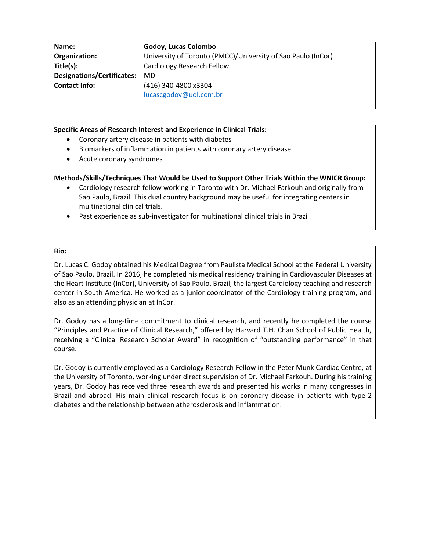| Name:                             | Godoy, Lucas Colombo                                         |
|-----------------------------------|--------------------------------------------------------------|
| Organization:                     | University of Toronto (PMCC)/University of Sao Paulo (InCor) |
| Title(s):                         | Cardiology Research Fellow                                   |
| <b>Designations/Certificates:</b> | MD                                                           |
| <b>Contact Info:</b>              | (416) 340-4800 x3304                                         |
|                                   | lucascgodoy@uol.com.br                                       |
|                                   |                                                              |

- Coronary artery disease in patients with diabetes
- Biomarkers of inflammation in patients with coronary artery disease
- Acute coronary syndromes

# **Methods/Skills/Techniques That Would be Used to Support Other Trials Within the WNICR Group:**

- Cardiology research fellow working in Toronto with Dr. Michael Farkouh and originally from Sao Paulo, Brazil. This dual country background may be useful for integrating centers in multinational clinical trials.
- Past experience as sub-investigator for multinational clinical trials in Brazil.

#### **Bio:**

Dr. Lucas C. Godoy obtained his Medical Degree from Paulista Medical School at the Federal University of Sao Paulo, Brazil. In 2016, he completed his medical residency training in Cardiovascular Diseases at the Heart Institute (InCor), University of Sao Paulo, Brazil, the largest Cardiology teaching and research center in South America. He worked as a junior coordinator of the Cardiology training program, and also as an attending physician at InCor.

Dr. Godoy has a long-time commitment to clinical research, and recently he completed the course "Principles and Practice of Clinical Research," offered by Harvard T.H. Chan School of Public Health, receiving a "Clinical Research Scholar Award" in recognition of "outstanding performance" in that course.

Dr. Godoy is currently employed as a Cardiology Research Fellow in the Peter Munk Cardiac Centre, at the University of Toronto, working under direct supervision of Dr. Michael Farkouh. During his training years, Dr. Godoy has received three research awards and presented his works in many congresses in Brazil and abroad. His main clinical research focus is on coronary disease in patients with type-2 diabetes and the relationship between atherosclerosis and inflammation.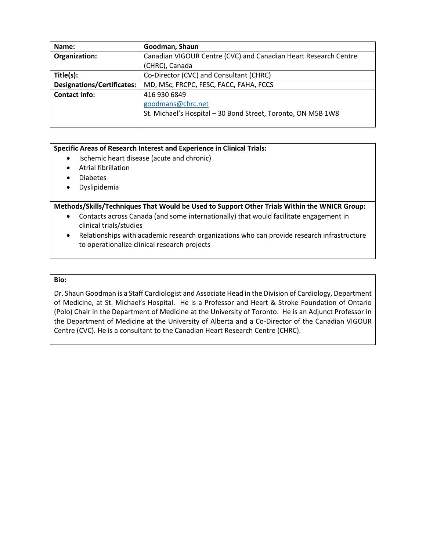| Name:                             | Goodman, Shaun                                                  |
|-----------------------------------|-----------------------------------------------------------------|
| Organization:                     | Canadian VIGOUR Centre (CVC) and Canadian Heart Research Centre |
|                                   | (CHRC), Canada                                                  |
| Title(s):                         | Co-Director (CVC) and Consultant (CHRC)                         |
| <b>Designations/Certificates:</b> | MD, MSc, FRCPC, FESC, FACC, FAHA, FCCS                          |
| <b>Contact Info:</b>              | 416 930 6849                                                    |
|                                   | goodmans@chrc.net                                               |
|                                   | St. Michael's Hospital - 30 Bond Street, Toronto, ON M5B 1W8    |
|                                   |                                                                 |

- Ischemic heart disease (acute and chronic)
- Atrial fibrillation
- Diabetes
- Dyslipidemia

**Methods/Skills/Techniques That Would be Used to Support Other Trials Within the WNICR Group:**

- Contacts across Canada (and some internationally) that would facilitate engagement in clinical trials/studies
- Relationships with academic research organizations who can provide research infrastructure to operationalize clinical research projects

# **Bio:**

Dr. Shaun Goodman is a Staff Cardiologist and Associate Head in the Division of Cardiology, Department of Medicine, at St. Michael's Hospital. He is a Professor and Heart & Stroke Foundation of Ontario (Polo) Chair in the Department of Medicine at the University of Toronto. He is an Adjunct Professor in the Department of Medicine at the University of Alberta and a Co-Director of the Canadian VIGOUR Centre (CVC). He is a consultant to the Canadian Heart Research Centre (CHRC).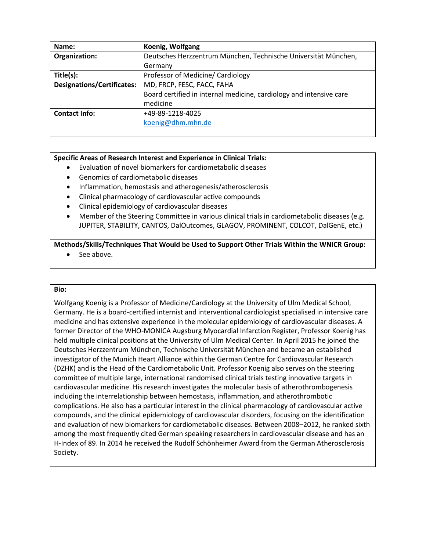| Name:                             | Koenig, Wolfgang                                                    |
|-----------------------------------|---------------------------------------------------------------------|
| Organization:                     | Deutsches Herzzentrum München, Technische Universität München,      |
|                                   | Germany                                                             |
| Title(s):                         | Professor of Medicine/ Cardiology                                   |
| <b>Designations/Certificates:</b> | MD, FRCP, FESC, FACC, FAHA                                          |
|                                   | Board certified in internal medicine, cardiology and intensive care |
|                                   | medicine                                                            |
| <b>Contact Info:</b>              | +49-89-1218-4025                                                    |
|                                   | koenig@dhm.mhn.de                                                   |
|                                   |                                                                     |

- Evaluation of novel biomarkers for cardiometabolic diseases
- Genomics of cardiometabolic diseases
- Inflammation, hemostasis and atherogenesis/atherosclerosis
- Clinical pharmacology of cardiovascular active compounds
- Clinical epidemiology of cardiovascular diseases
- Member of the Steering Committee in various clinical trials in cardiometabolic diseases (e.g. JUPITER, STABILITY, CANTOS, DalOutcomes, GLAGOV, PROMINENT, COLCOT, DalGenE, etc.)

# **Methods/Skills/Techniques That Would be Used to Support Other Trials Within the WNICR Group:**

See above.

#### **Bio:**

Wolfgang Koenig is a Professor of Medicine/Cardiology at the University of Ulm Medical School, Germany. He is a board-certified internist and interventional cardiologist specialised in intensive care medicine and has extensive experience in the molecular epidemiology of cardiovascular diseases. A former Director of the WHO-MONICA Augsburg Myocardial Infarction Register, Professor Koenig has held multiple clinical positions at the University of Ulm Medical Center. In April 2015 he joined the Deutsches Herzzentrum München, Technische Universität München and became an established investigator of the Munich Heart Alliance within the German Centre for Cardiovascular Research (DZHK) and is the Head of the Cardiometabolic Unit. Professor Koenig also serves on the steering committee of multiple large, international randomised clinical trials testing innovative targets in cardiovascular medicine. His research investigates the molecular basis of atherothrombogenesis including the interrelationship between hemostasis, inflammation, and atherothrombotic complications. He also has a particular interest in the clinical pharmacology of cardiovascular active compounds, and the clinical epidemiology of cardiovascular disorders, focusing on the identification and evaluation of new biomarkers for cardiometabolic diseases. Between 2008–2012, he ranked sixth among the most frequently cited German speaking researchers in cardiovascular disease and has an H-Index of 89. In 2014 he received the Rudolf Schönheimer Award from the German Atherosclerosis Society.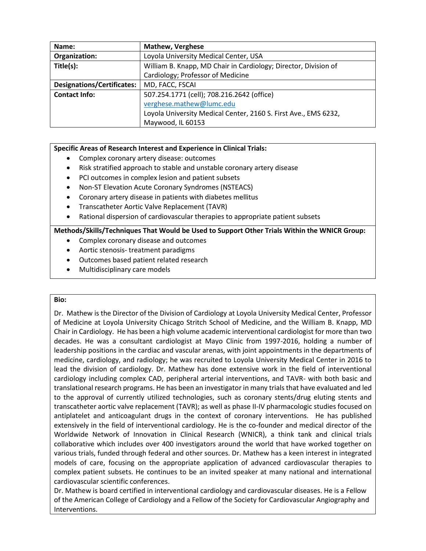| Name:                             | <b>Mathew, Verghese</b>                                         |
|-----------------------------------|-----------------------------------------------------------------|
| Organization:                     | Loyola University Medical Center, USA                           |
| Title(s):                         | William B. Knapp, MD Chair in Cardiology; Director, Division of |
|                                   | Cardiology; Professor of Medicine                               |
| <b>Designations/Certificates:</b> | MD, FACC, FSCAI                                                 |
| <b>Contact Info:</b>              | 507.254.1771 (cell); 708.216.2642 (office)                      |
|                                   | verghese.mathew@lumc.edu                                        |
|                                   | Loyola University Medical Center, 2160 S. First Ave., EMS 6232, |
|                                   | Maywood, IL 60153                                               |

- Complex coronary artery disease: outcomes
- Risk stratified approach to stable and unstable coronary artery disease
- PCI outcomes in complex lesion and patient subsets
- Non-ST Elevation Acute Coronary Syndromes (NSTEACS)
- Coronary artery disease in patients with diabetes mellitus
- Transcatheter Aortic Valve Replacement (TAVR)
- Rational dispersion of cardiovascular therapies to appropriate patient subsets

# **Methods/Skills/Techniques That Would be Used to Support Other Trials Within the WNICR Group:**

- Complex coronary disease and outcomes
- Aortic stenosis- treatment paradigms
- Outcomes based patient related research
- Multidisciplinary care models

#### **Bio:**

Dr. Mathew is the Director of the Division of Cardiology at Loyola University Medical Center, Professor of Medicine at Loyola University Chicago Stritch School of Medicine, and the William B. Knapp, MD Chair in Cardiology. He has been a high volume academic interventional cardiologist for more than two decades. He was a consultant cardiologist at Mayo Clinic from 1997-2016, holding a number of leadership positions in the cardiac and vascular arenas, with joint appointments in the departments of medicine, cardiology, and radiology; he was recruited to Loyola University Medical Center in 2016 to lead the division of cardiology. Dr. Mathew has done extensive work in the field of interventional cardiology including complex CAD, peripheral arterial interventions, and TAVR- with both basic and translational research programs. He has been an investigator in many trials that have evaluated and led to the approval of currently utilized technologies, such as coronary stents/drug eluting stents and transcatheter aortic valve replacement (TAVR); as well as phase II-IV pharmacologic studies focused on antiplatelet and anticoagulant drugs in the context of coronary interventions. He has published extensively in the field of interventional cardiology. He is the co-founder and medical director of the Worldwide Network of Innovation in Clinical Research (WNICR), a think tank and clinical trials collaborative which includes over 400 investigators around the world that have worked together on various trials, funded through federal and other sources. Dr. Mathew has a keen interest in integrated models of care, focusing on the appropriate application of advanced cardiovascular therapies to complex patient subsets. He continues to be an invited speaker at many national and international cardiovascular scientific conferences.

Dr. Mathew is board certified in interventional cardiology and cardiovascular diseases. He is a Fellow of the American College of Cardiology and a Fellow of the Society for Cardiovascular Angiography and Interventions.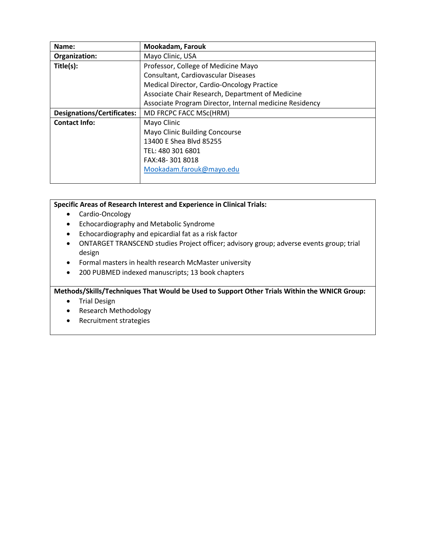| Name:                             | Mookadam, Farouk                                        |
|-----------------------------------|---------------------------------------------------------|
| Organization:                     | Mayo Clinic, USA                                        |
| Title(s):                         | Professor, College of Medicine Mayo                     |
|                                   | Consultant, Cardiovascular Diseases                     |
|                                   | Medical Director, Cardio-Oncology Practice              |
|                                   | Associate Chair Research, Department of Medicine        |
|                                   | Associate Program Director, Internal medicine Residency |
| <b>Designations/Certificates:</b> | MD FRCPC FACC MSc(HRM)                                  |
| <b>Contact Info:</b>              | Mayo Clinic                                             |
|                                   | Mayo Clinic Building Concourse                          |
|                                   | 13400 E Shea Blvd 85255                                 |
|                                   | TEL: 480 301 6801                                       |
|                                   | FAX:48-3018018                                          |
|                                   | Mookadam.farouk@mayo.edu                                |
|                                   |                                                         |

- Cardio-Oncology
- Echocardiography and Metabolic Syndrome
- Echocardiography and epicardial fat as a risk factor
- ONTARGET TRANSCEND studies Project officer; advisory group; adverse events group; trial design
- Formal masters in health research McMaster university
- 200 PUBMED indexed manuscripts; 13 book chapters

**Methods/Skills/Techniques That Would be Used to Support Other Trials Within the WNICR Group:**

- **•** Trial Design
- Research Methodology
- Recruitment strategies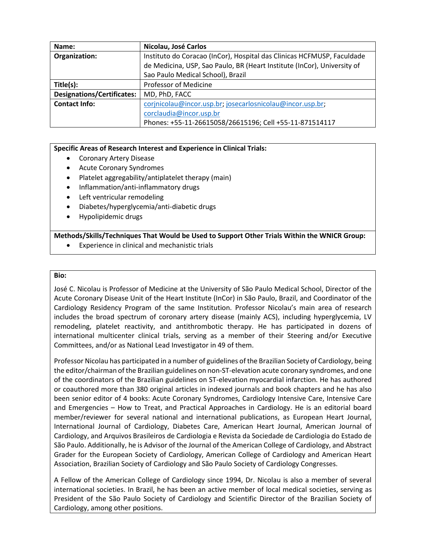| Name:                             | Nicolau, José Carlos                                                    |
|-----------------------------------|-------------------------------------------------------------------------|
| Organization:                     | Instituto do Coracao (InCor), Hospital das Clinicas HCFMUSP, Faculdade  |
|                                   | de Medicina, USP, Sao Paulo, BR (Heart Institute (InCor), University of |
|                                   | Sao Paulo Medical School), Brazil                                       |
| Title(s):                         | Professor of Medicine                                                   |
| <b>Designations/Certificates:</b> | MD, PhD, FACC                                                           |
| <b>Contact Info:</b>              | corjnicolau@incor.usp.br; josecarlosnicolau@incor.usp.br;               |
|                                   | corclaudia@incor.usp.br                                                 |
|                                   | Phones: +55-11-26615058/26615196; Cell +55-11-871514117                 |

- Coronary Artery Disease
- Acute Coronary Syndromes
- Platelet aggregability/antiplatelet therapy (main)
- Inflammation/anti-inflammatory drugs
- Left ventricular remodeling
- Diabetes/hyperglycemia/anti-diabetic drugs
- Hypolipidemic drugs

**Methods/Skills/Techniques That Would be Used to Support Other Trials Within the WNICR Group:**

Experience in clinical and mechanistic trials

#### **Bio:**

José C. Nicolau is Professor of Medicine at the University of São Paulo Medical School, Director of the Acute Coronary Disease Unit of the Heart Institute (InCor) in São Paulo, Brazil, and Coordinator of the Cardiology Residency Program of the same Institution. Professor Nicolau's main area of research includes the broad spectrum of coronary artery disease (mainly ACS), including hyperglycemia, LV remodeling, platelet reactivity, and antithrombotic therapy. He has participated in dozens of international multicenter clinical trials, serving as a member of their Steering and/or Executive Committees, and/or as National Lead Investigator in 49 of them.

Professor Nicolau has participated in a number of guidelines of the Brazilian Society of Cardiology, being the editor/chairman of the Brazilian guidelines on non-ST-elevation acute coronary syndromes, and one of the coordinators of the Brazilian guidelines on ST-elevation myocardial infarction. He has authored or coauthored more than 380 original articles in indexed journals and book chapters and he has also been senior editor of 4 books: Acute Coronary Syndromes, Cardiology Intensive Care, Intensive Care and Emergencies – How to Treat, and Practical Approaches in Cardiology. He is an editorial board member/reviewer for several national and international publications, as European Heart Journal, International Journal of Cardiology, Diabetes Care, American Heart Journal, American Journal of Cardiology, and Arquivos Brasileiros de Cardiologia e Revista da Sociedade de Cardiologia do Estado de São Paulo. Additionally, he is Advisor of the Journal of the American College of Cardiology, and Abstract Grader for the European Society of Cardiology, American College of Cardiology and American Heart Association, Brazilian Society of Cardiology and São Paulo Society of Cardiology Congresses.

A Fellow of the American College of Cardiology since 1994, Dr. Nicolau is also a member of several international societies. In Brazil, he has been an active member of local medical societies, serving as President of the São Paulo Society of Cardiology and Scientific Director of the Brazilian Society of Cardiology, among other positions.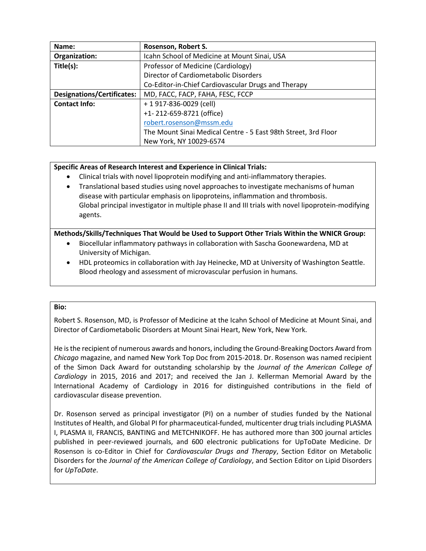| Name:                             | Rosenson, Robert S.                                            |
|-----------------------------------|----------------------------------------------------------------|
| Organization:                     | Icahn School of Medicine at Mount Sinai, USA                   |
| Title(s):                         | Professor of Medicine (Cardiology)                             |
|                                   | Director of Cardiometabolic Disorders                          |
|                                   | Co-Editor-in-Chief Cardiovascular Drugs and Therapy            |
| <b>Designations/Certificates:</b> | MD, FACC, FACP, FAHA, FESC, FCCP                               |
| <b>Contact Info:</b>              | + 1 917-836-0029 (cell)                                        |
|                                   | +1-212-659-8721 (office)                                       |
|                                   | robert.rosenson@mssm.edu                                       |
|                                   | The Mount Sinai Medical Centre - 5 East 98th Street, 3rd Floor |
|                                   | New York, NY 10029-6574                                        |

- Clinical trials with novel lipoprotein modifying and anti-inflammatory therapies.
- Translational based studies using novel approaches to investigate mechanisms of human disease with particular emphasis on lipoproteins, inflammation and thrombosis. Global principal investigator in multiple phase II and III trials with novel lipoprotein-modifying agents.

# **Methods/Skills/Techniques That Would be Used to Support Other Trials Within the WNICR Group:**

- Biocellular inflammatory pathways in collaboration with Sascha Goonewardena, MD at University of Michigan.
- HDL proteomics in collaboration with Jay Heinecke, MD at University of Washington Seattle. Blood rheology and assessment of microvascular perfusion in humans.

# **Bio:**

Robert S. Rosenson, MD, is Professor of Medicine at the Icahn School of Medicine at Mount Sinai, and Director of Cardiometabolic Disorders at Mount Sinai Heart, New York, New York.

He is the recipient of numerous awards and honors, including the Ground-Breaking Doctors Award from *Chicago* magazine, and named New York Top Doc from 2015-2018. Dr. Rosenson was named recipient of the Simon Dack Award for outstanding scholarship by the *Journal of the American College of Cardiology* in 2015, 2016 and 2017; and received the Jan J. Kellerman Memorial Award by the International Academy of Cardiology in 2016 for distinguished contributions in the field of cardiovascular disease prevention.

Dr. Rosenson served as principal investigator (PI) on a number of studies funded by the National Institutes of Health, and Global PI for pharmaceutical-funded, multicenter drug trials including PLASMA I, PLASMA II, FRANCIS, BANTING and METCHNIKOFF. He has authored more than 300 journal articles published in peer-reviewed journals, and 600 electronic publications for UpToDate Medicine. Dr Rosenson is co-Editor in Chief for *Cardiovascular Drugs and Therapy*, Section Editor on Metabolic Disorders for the *Journal of the American College of Cardiology*, and Section Editor on Lipid Disorders for *UpToDate*.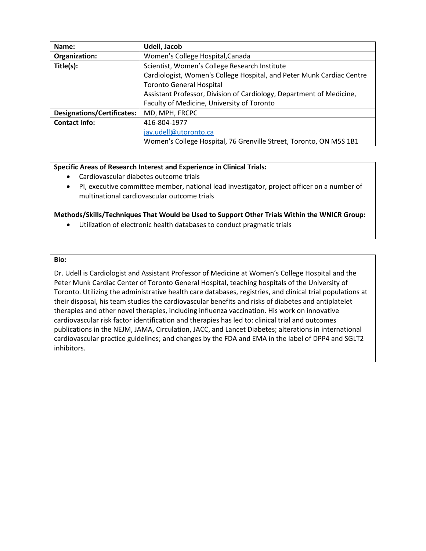| Name:                             | Udell, Jacob                                                          |
|-----------------------------------|-----------------------------------------------------------------------|
| Organization:                     | Women's College Hospital, Canada                                      |
| Title(s):                         | Scientist, Women's College Research Institute                         |
|                                   | Cardiologist, Women's College Hospital, and Peter Munk Cardiac Centre |
|                                   | <b>Toronto General Hospital</b>                                       |
|                                   | Assistant Professor, Division of Cardiology, Department of Medicine,  |
|                                   | Faculty of Medicine, University of Toronto                            |
| <b>Designations/Certificates:</b> | MD, MPH, FRCPC                                                        |
| <b>Contact Info:</b>              | 416-804-1977                                                          |
|                                   | jay.udell@utoronto.ca                                                 |
|                                   | Women's College Hospital, 76 Grenville Street, Toronto, ON M5S 1B1    |

- Cardiovascular diabetes outcome trials
- PI, executive committee member, national lead investigator, project officer on a number of multinational cardiovascular outcome trials

# **Methods/Skills/Techniques That Would be Used to Support Other Trials Within the WNICR Group:**

Utilization of electronic health databases to conduct pragmatic trials

#### **Bio:**

Dr. Udell is Cardiologist and Assistant Professor of Medicine at Women's College Hospital and the Peter Munk Cardiac Center of Toronto General Hospital, teaching hospitals of the University of Toronto. Utilizing the administrative health care databases, registries, and clinical trial populations at their disposal, his team studies the cardiovascular benefits and risks of diabetes and antiplatelet therapies and other novel therapies, including influenza vaccination. His work on innovative cardiovascular risk factor identification and therapies has led to: clinical trial and outcomes publications in the NEJM, JAMA, Circulation, JACC, and Lancet Diabetes; alterations in international cardiovascular practice guidelines; and changes by the FDA and EMA in the label of DPP4 and SGLT2 inhibitors.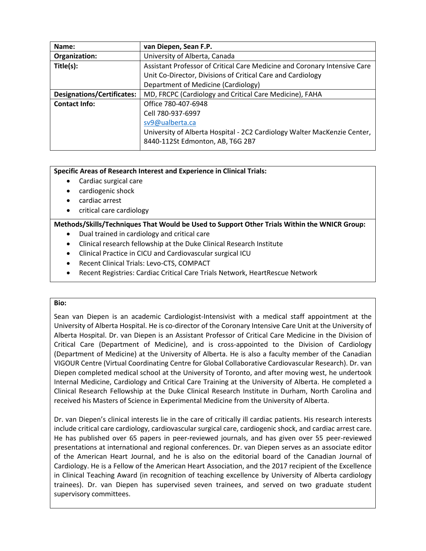| Name:                             | van Diepen, Sean F.P.                                                     |
|-----------------------------------|---------------------------------------------------------------------------|
| Organization:                     | University of Alberta, Canada                                             |
| Title(s):                         | Assistant Professor of Critical Care Medicine and Coronary Intensive Care |
|                                   | Unit Co-Director, Divisions of Critical Care and Cardiology               |
|                                   | Department of Medicine (Cardiology)                                       |
| <b>Designations/Certificates:</b> | MD, FRCPC (Cardiology and Critical Care Medicine), FAHA                   |
| <b>Contact Info:</b>              | Office 780-407-6948                                                       |
|                                   | Cell 780-937-6997                                                         |
|                                   | sv9@ualberta.ca                                                           |
|                                   | University of Alberta Hospital - 2C2 Cardiology Walter MacKenzie Center,  |
|                                   | 8440-112St Edmonton, AB, T6G 2B7                                          |

- Cardiac surgical care
- cardiogenic shock
- cardiac arrest
- critical care cardiology

# **Methods/Skills/Techniques That Would be Used to Support Other Trials Within the WNICR Group:**

- Dual trained in cardiology and critical care
- Clinical research fellowship at the Duke Clinical Research Institute
- Clinical Practice in CICU and Cardiovascular surgical ICU
- Recent Clinical Trials: Levo-CTS, COMPACT
- Recent Registries: Cardiac Critical Care Trials Network, HeartRescue Network

#### **Bio:**

Sean van Diepen is an academic Cardiologist-Intensivist with a medical staff appointment at the University of Alberta Hospital. He is co-director of the Coronary Intensive Care Unit at the University of Alberta Hospital. Dr. van Diepen is an Assistant Professor of Critical Care Medicine in the Division of Critical Care (Department of Medicine), and is cross-appointed to the Division of Cardiology (Department of Medicine) at the University of Alberta. He is also a faculty member of the Canadian VIGOUR Centre (Virtual Coordinating Centre for Global Collaborative Cardiovascular Research). Dr. van Diepen completed medical school at the University of Toronto, and after moving west, he undertook Internal Medicine, Cardiology and Critical Care Training at the University of Alberta. He completed a Clinical Research Fellowship at the Duke Clinical Research Institute in Durham, North Carolina and received his Masters of Science in Experimental Medicine from the University of Alberta.

Dr. van Diepen's clinical interests lie in the care of critically ill cardiac patients. His research interests include critical care cardiology, cardiovascular surgical care, cardiogenic shock, and cardiac arrest care. He has published over 65 papers in peer-reviewed journals, and has given over 55 peer-reviewed presentations at international and regional conferences. Dr. van Diepen serves as an associate editor of the American Heart Journal, and he is also on the editorial board of the Canadian Journal of Cardiology. He is a Fellow of the American Heart Association, and the 2017 recipient of the Excellence in Clinical Teaching Award (in recognition of teaching excellence by University of Alberta cardiology trainees). Dr. van Diepen has supervised seven trainees, and served on two graduate student supervisory committees.